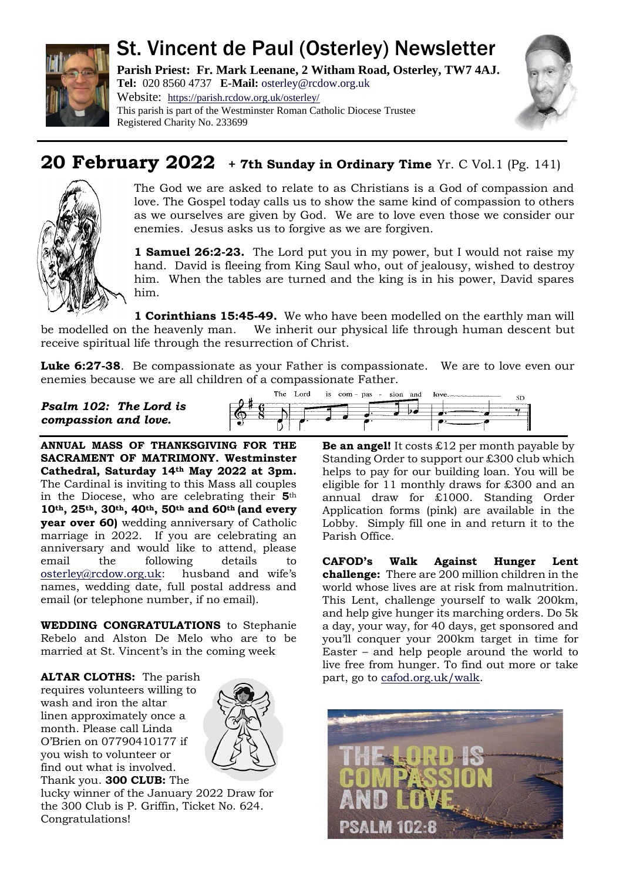

# St. Vincent de Paul (Osterley) Newsletter

**Parish Priest: Fr. Mark Leenane, 2 Witham Road, Osterley, TW7 4AJ. Tel:** 020 8560 4737 **E-Mail:** [osterley@rcdow.org.uk](mailto:osterley@rcdow.org.uk) Website: <https://parish.rcdow.org.uk/osterley/> This parish is part of the Westminster Roman Catholic Diocese Trustee



# **20 February 2022 + 7th Sunday in Ordinary Time** Yr. C Vol.1 (Pg. 141)



The God we are asked to relate to as Christians is a God of compassion and love. The Gospel today calls us to show the same kind of compassion to others as we ourselves are given by God. We are to love even those we consider our enemies. Jesus asks us to forgive as we are forgiven.

**1 Samuel 26:2-23.** The Lord put you in my power, but I would not raise my hand. David is fleeing from King Saul who, out of jealousy, wished to destroy him. When the tables are turned and the king is in his power, David spares him.

**1 Corinthians 15:45-49.** We who have been modelled on the earthly man will be modelled on the heavenly man. We inherit our physical life through human descent but receive spiritual life through the resurrection of Christ.

**Luke 6:27-38**. Be compassionate as your Father is compassionate. We are to love even our enemies because we are all children of a compassionate Father.

*Psalm 102: The Lord is compassion and love.*

**ANNUAL MASS OF THANKSGIVING FOR THE SACRAMENT OF MATRIMONY. Westminster Cathedral, Saturday 14th May 2022 at 3pm.**  The Cardinal is inviting to this Mass all couples in the Diocese, who are celebrating their **5**th **10th, 25th, 30th, 40th, 50th and 60th (and every year over 60)** wedding anniversary of Catholic marriage in 2022. If you are celebrating an anniversary and would like to attend, please email the following details to [osterley@rcdow.org.uk](mailto:osterley@rcdow.org.uk): husband and wife's names, wedding date, full postal address and email (or telephone number, if no email).

Registered Charity No. 233699

**WEDDING CONGRATULATIONS** to Stephanie Rebelo and Alston De Melo who are to be married at St. Vincent's in the coming week

**ALTAR CLOTHS:** The parish requires volunteers willing to wash and iron the altar linen approximately once a month. Please call Linda O'Brien on 07790410177 if you wish to volunteer or find out what is involved. Thank you. **300 CLUB:** The



lucky winner of the January 2022 Draw for the 300 Club is P. Griffin, Ticket No. 624. Congratulations!

The Lord is com - pas - sion and love ŚĎ  $\overline{\phantom{a}}$ 

> **Be an angel!** It costs £12 per month payable by Standing Order to support our £300 club which helps to pay for our building loan. You will be eligible for 11 monthly draws for £300 and an annual draw for £1000. Standing Order Application forms (pink) are available in the Lobby. Simply fill one in and return it to the Parish Office.

**CAFOD's Walk Against Hunger Lent challenge:** There are 200 million children in the world whose lives are at risk from malnutrition. This Lent, challenge yourself to walk 200km, and help give hunger its marching orders. Do 5k a day, your way, for 40 days, get sponsored and you'll conquer your 200km target in time for Easter – and help people around the world to live free from hunger. To find out more or take part, go to [cafod.org.uk/walk.](https://walk.cafod.org.uk/)

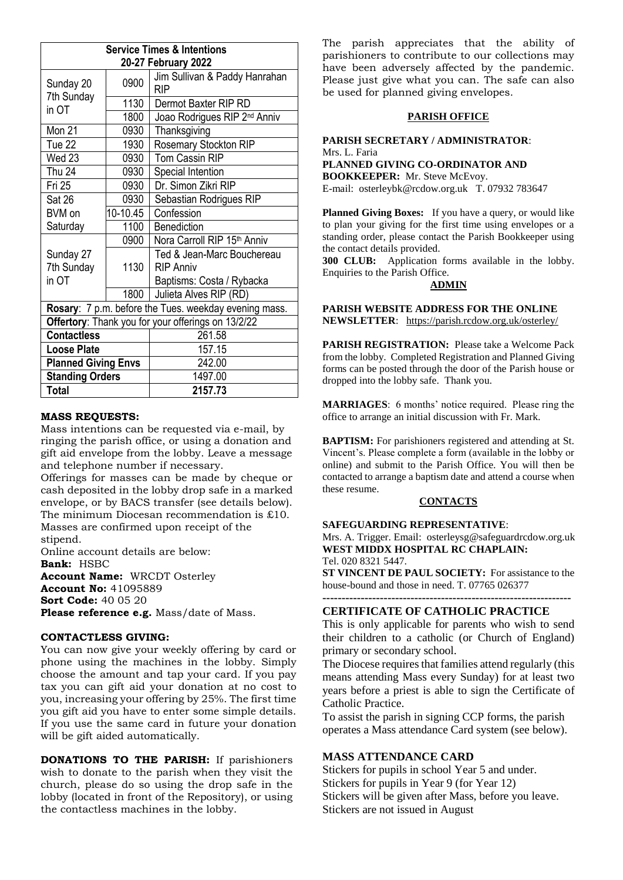| <b>Service Times &amp; Intentions</b>                 |          |                                             |
|-------------------------------------------------------|----------|---------------------------------------------|
| 20-27 February 2022                                   |          |                                             |
| Sunday 20<br>7th Sunday                               | 0900     | Jim Sullivan & Paddy Hanrahan<br><b>RIP</b> |
| in OT                                                 | 1130     | Dermot Baxter RIP RD                        |
|                                                       | 1800     | Joao Rodrigues RIP 2 <sup>nd</sup> Anniv    |
| Mon 21                                                | 0930     | Thanksgiving                                |
| Tue 22                                                | 1930     | Rosemary Stockton RIP                       |
| Wed 23                                                | 0930     | Tom Cassin RIP                              |
| Thu 24                                                | 0930     | Special Intention                           |
| Fri 25                                                | 0930     | Dr. Simon Zikri RIP                         |
| Sat 26                                                | 0930     | Sebastian Rodrigues RIP                     |
| BVM on                                                | 10-10.45 | Confession                                  |
| Saturday                                              | 1100     | <b>Benediction</b>                          |
|                                                       | 0900     | Nora Carroll RIP 15th Anniv                 |
| Sunday 27                                             |          | Ted & Jean-Marc Bouchereau                  |
| 7th Sunday                                            | 1130     | <b>RIP Anniv</b>                            |
| in OT                                                 |          | Baptisms: Costa / Rybacka                   |
|                                                       | 1800     | Julieta Alves RIP (RD)                      |
| Rosary: 7 p.m. before the Tues. weekday evening mass. |          |                                             |
| Offertory: Thank you for your offerings on 13/2/22    |          |                                             |
| <b>Contactless</b>                                    |          | 261.58                                      |
| <b>Loose Plate</b>                                    |          | 157.15                                      |
| <b>Planned Giving Envs</b>                            |          | 242.00                                      |
| <b>Standing Orders</b>                                |          | 1497.00                                     |
| <b>Total</b>                                          |          | 2157.73                                     |

#### **MASS REQUESTS:**

Mass intentions can be requested via e-mail, by ringing the parish office, or using a donation and gift aid envelope from the lobby. Leave a message and telephone number if necessary.

Offerings for masses can be made by cheque or cash deposited in the lobby drop safe in a marked envelope, or by BACS transfer (see details below). The minimum Diocesan recommendation is £10. Masses are confirmed upon receipt of the stipend.

Online account details are below: **Bank:** HSBC

**Account Name:** WRCDT Osterley **Account No:** 41095889 **Sort Code:** 40 05 20 **Please reference e.g.** Mass/date of Mass.

#### **CONTACTLESS GIVING:**

You can now give your weekly offering by card or phone using the machines in the lobby. Simply choose the amount and tap your card. If you pay tax you can gift aid your donation at no cost to you, increasing your offering by 25%. The first time you gift aid you have to enter some simple details. If you use the same card in future your donation will be gift aided automatically.

**DONATIONS TO THE PARISH:** If parishioners wish to donate to the parish when they visit the church, please do so using the drop safe in the lobby (located in front of the Repository), or using the contactless machines in the lobby.

The parish appreciates that the ability of parishioners to contribute to our collections may have been adversely affected by the pandemic. Please just give what you can. The safe can also be used for planned giving envelopes.

#### **PARISH OFFICE**

**PARISH SECRETARY / ADMINISTRATOR**: Mrs. L. Faria **PLANNED GIVING CO-ORDINATOR AND BOOKKEEPER:** Mr. Steve McEvoy. E-mail: [osterleybk@rcdow.org.uk](mailto:osterleybk@rcdow.org.uk) T. 07932 783647

**Planned Giving Boxes:** If you have a query, or would like to plan your giving for the first time using envelopes or a standing order, please contact the Parish Bookkeeper using the contact details provided.

**300 CLUB:** Application forms available in the lobby. Enquiries to the Parish Office.

#### **ADMIN**

**PARISH WEBSITE ADDRESS FOR THE ONLINE NEWSLETTER**: <https://parish.rcdow.org.uk/osterley/>

**PARISH REGISTRATION:** Please take a Welcome Pack from the lobby. Completed Registration and Planned Giving forms can be posted through the door of the Parish house or dropped into the lobby safe. Thank you.

**MARRIAGES**: 6 months' notice required. Please ring the office to arrange an initial discussion with Fr. Mark.

**BAPTISM:** For parishioners registered and attending at St. Vincent's. Please complete a form (available in the lobby or online) and submit to the Parish Office. You will then be contacted to arrange a baptism date and attend a course when these resume.

#### **CONTACTS**

#### **SAFEGUARDING REPRESENTATIVE**:

Mrs. A. Trigger. Email: osterleysg@safeguardrcdow.org.uk **WEST MIDDX HOSPITAL RC CHAPLAIN:**  Tel. 020 8321 5447.

**ST VINCENT DE PAUL SOCIETY:** For assistance to the house-bound and those in need. T. 07765 026377

#### **-----------------------------------------------------------------**

### **CERTIFICATE OF CATHOLIC PRACTICE**

This is only applicable for parents who wish to send their children to a catholic (or Church of England) primary or secondary school.

The Diocese requires that families attend regularly (this means attending Mass every Sunday) for at least two years before a priest is able to sign the Certificate of Catholic Practice.

To assist the parish in signing CCP forms, the parish operates a Mass attendance Card system (see below).

#### **MASS ATTENDANCE CARD**

Stickers for pupils in school Year 5 and under. Stickers for pupils in Year 9 (for Year 12) Stickers will be given after Mass, before you leave. Stickers are not issued in August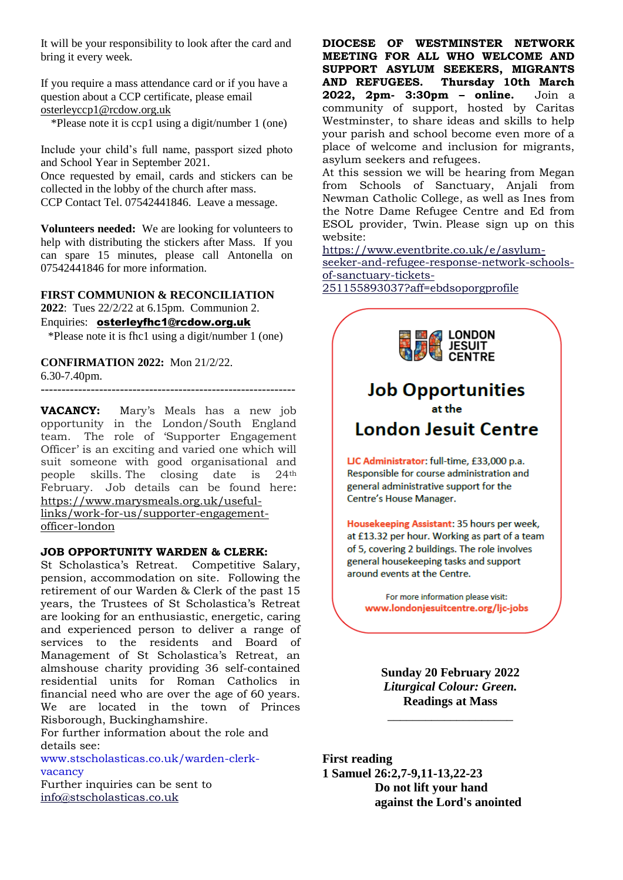It will be your responsibility to look after the card and bring it every week.

If you require a mass attendance card or if you have a question about a CCP certificate, please email [osterleyccp1@rcdow.org.uk](mailto:osterleyccp1@rcdow.org.uk)

\*Please note it is ccp1 using a digit/number 1 (one)

Include your child's full name, passport sized photo and School Year in September 2021. Once requested by email, cards and stickers can be collected in the lobby of the church after mass. CCP Contact Tel. 07542441846. Leave a message.

**Volunteers needed:** We are looking for volunteers to help with distributing the stickers after Mass. If you can spare 15 minutes, please call Antonella on 07542441846 for more information.

**FIRST COMMUNION & RECONCILIATION 2022**: Tues 22/2/22 at 6.15pm. Communion 2. Enquiries: [osterleyfhc1@rcdow.org.uk](mailto:osterleyfhc1@rcdow.org.uk) \*Please note it is fhc1 using a digit/number 1 (one)

**CONFIRMATION 2022:** Mon 21/2/22. 6.30-7.40pm.

-------------------------------------------------------------

**VACANCY:** Mary's Meals has a new job opportunity in the London/South England team. The role of 'Supporter Engagement Officer' is an exciting and varied one which will suit someone with good organisational and<br>people skills. The closing date is 24<sup>th</sup> people skills. The closing date is 24th February. Job details can be found here: [https://www.marysmeals.org.uk/useful](https://www.marysmeals.org.uk/useful-links/work-for-us/supporter-engagement-officer-london)[links/work-for-us/supporter-engagement](https://www.marysmeals.org.uk/useful-links/work-for-us/supporter-engagement-officer-london)[officer-london](https://www.marysmeals.org.uk/useful-links/work-for-us/supporter-engagement-officer-london)

#### **JOB OPPORTUNITY WARDEN & CLERK:**

St Scholastica's Retreat. Competitive Salary, pension, accommodation on site. Following the retirement of our Warden & Clerk of the past 15 years, the Trustees of St Scholastica's Retreat are looking for an enthusiastic, energetic, caring and experienced person to deliver a range of services to the residents and Board of Management of St Scholastica's Retreat, an almshouse charity providing 36 self-contained residential units for Roman Catholics in financial need who are over the age of 60 years. We are located in the town of Princes Risborough, Buckinghamshire.

For further information about the role and details see:

www.stscholasticas.co.uk/warden-clerkvacancy

Further inquiries can be sent to [info@stscholasticas.co.uk](mailto:info@stscholasticas.co.uk)

**DIOCESE OF WESTMINSTER NETWORK MEETING FOR ALL WHO WELCOME AND SUPPORT ASYLUM SEEKERS, MIGRANTS AND REFUGEES. Thursday 10th March 2022, 2pm- 3:30pm – online.** Join a community of support, hosted by Caritas Westminster, to share ideas and skills to help your parish and school become even more of a place of welcome and inclusion for migrants, asylum seekers and refugees.

At this session we will be hearing from Megan from Schools of Sanctuary, Anjali from Newman Catholic College, as well as Ines from the Notre Dame Refugee Centre and Ed from ESOL provider, Twin. Please sign up on this website:

[https://www.eventbrite.co.uk/e/asylum](https://www.eventbrite.co.uk/e/asylum-seeker-and-refugee-response-network-schools-of-sanctuary-tickets-251155893037?aff=ebdsoporgprofile)[seeker-and-refugee-response-network-schools](https://www.eventbrite.co.uk/e/asylum-seeker-and-refugee-response-network-schools-of-sanctuary-tickets-251155893037?aff=ebdsoporgprofile)[of-sanctuary-tickets-](https://www.eventbrite.co.uk/e/asylum-seeker-and-refugee-response-network-schools-of-sanctuary-tickets-251155893037?aff=ebdsoporgprofile)

[251155893037?aff=ebdsoporgprofile](https://www.eventbrite.co.uk/e/asylum-seeker-and-refugee-response-network-schools-of-sanctuary-tickets-251155893037?aff=ebdsoporgprofile)



of 5, covering 2 buildings. The role involves general housekeeping tasks and support around events at the Centre.

For more information please visit: www.londonjesuitcentre.org/ljc-jobs

**Sunday 20 February 2022** *Liturgical Colour: Green.* **Readings at Mass**

\_\_\_\_\_\_\_\_\_\_\_\_\_\_\_\_\_\_\_\_

**First reading 1 Samuel 26:2,7-9,11-13,22-23 Do not lift your hand against the Lord's anointed**